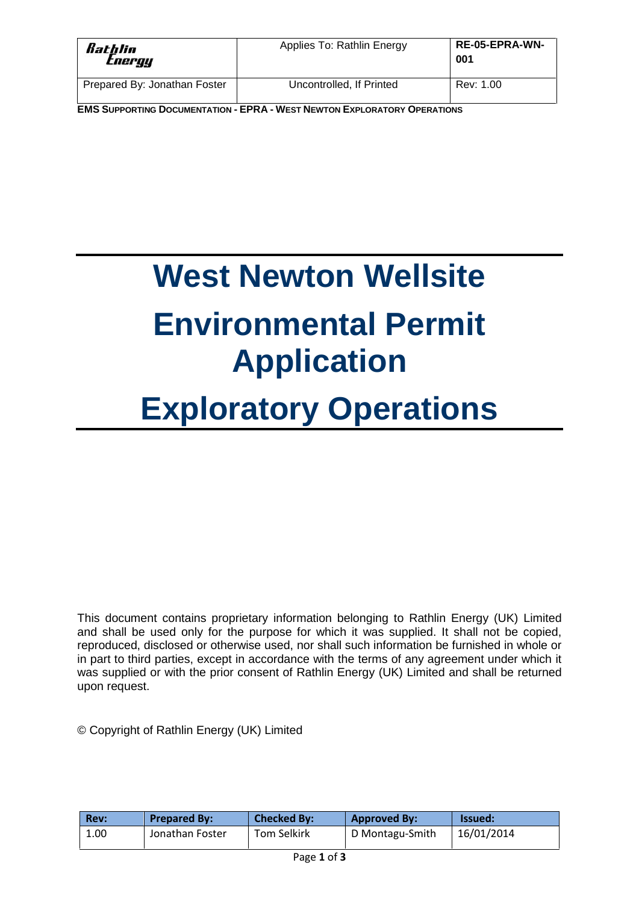| Rathlin<br><i>Energy</i>     | Applies To: Rathlin Energy | <b>RE-05-EPRA-WN-</b><br>001 |
|------------------------------|----------------------------|------------------------------|
| Prepared By: Jonathan Foster | Uncontrolled, If Printed   | Rev: 1.00                    |

**EMS SUPPORTING DOCUMENTATION - EPRA - WEST NEWTON EXPLORATORY OPERATIONS**

## **West Newton Wellsite Environmental Permit Application Exploratory Operations**

This document contains proprietary information belonging to Rathlin Energy (UK) Limited and shall be used only for the purpose for which it was supplied. It shall not be copied, reproduced, disclosed or otherwise used, nor shall such information be furnished in whole or in part to third parties, except in accordance with the terms of any agreement under which it was supplied or with the prior consent of Rathlin Energy (UK) Limited and shall be returned upon request.

© Copyright of Rathlin Energy (UK) Limited

| Rev: | <b>Prepared By:</b> | <b>Checked By:</b> | <b>Approved By:</b> | lssued:    |
|------|---------------------|--------------------|---------------------|------------|
| 1.00 | Jonathan Foster     | <b>Tom Selkirk</b> | D Montagu-Smith     | 16/01/2014 |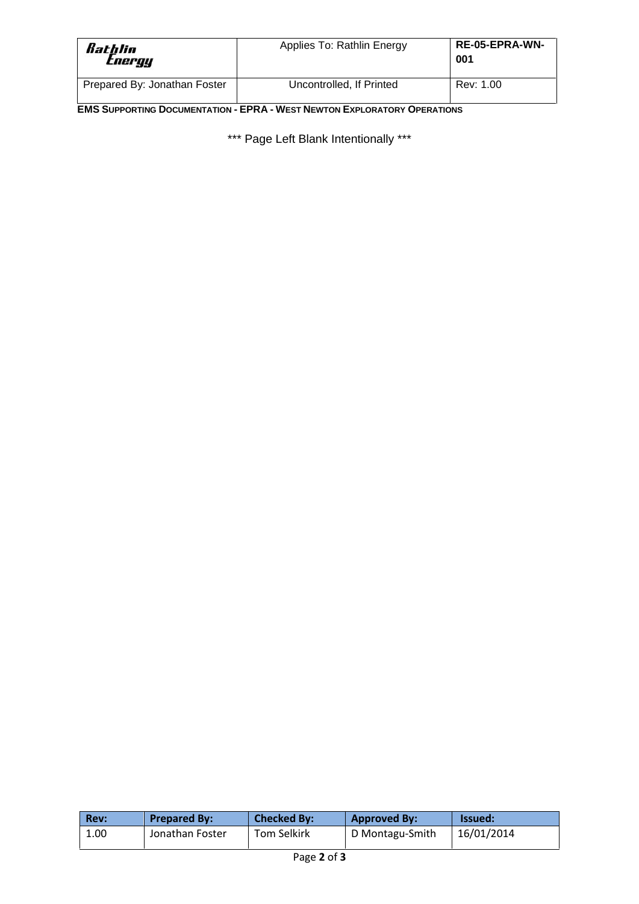| Rathlin<br><i>Energy</i>     | Applies To: Rathlin Energy | <b>RE-05-EPRA-WN-</b><br>001 |
|------------------------------|----------------------------|------------------------------|
| Prepared By: Jonathan Foster | Uncontrolled, If Printed   | Rev: 1.00                    |

**EMS SUPPORTING DOCUMENTATION - EPRA - WEST NEWTON EXPLORATORY OPERATIONS**

\*\*\* Page Left Blank Intentionally \*\*\*

| Rev: | <b>Prepared By:</b> | <b>Checked By:</b> | <b>Approved By:</b> | <b>Issued:</b> |
|------|---------------------|--------------------|---------------------|----------------|
| 1.00 | Jonathan Foster     | Tom Selkirk        | D Montagu-Smith     | 16/01/2014     |